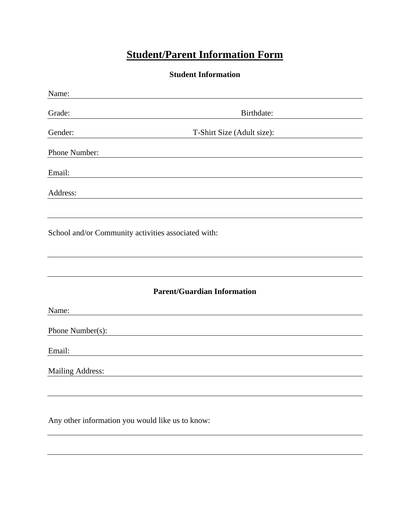## **Student/Parent Information Form**

**Student Information**

| Name:                                               |                                    |  |
|-----------------------------------------------------|------------------------------------|--|
| Grade:                                              | Birthdate:                         |  |
| Gender:                                             | T-Shirt Size (Adult size):         |  |
| Phone Number:                                       |                                    |  |
| Email:                                              |                                    |  |
| Address:                                            |                                    |  |
|                                                     |                                    |  |
| School and/or Community activities associated with: |                                    |  |
|                                                     |                                    |  |
|                                                     | <b>Parent/Guardian Information</b> |  |
| Name:                                               |                                    |  |
| Phone Number(s):                                    |                                    |  |
| Email:                                              |                                    |  |
| Mailing Address:                                    |                                    |  |
|                                                     |                                    |  |
|                                                     |                                    |  |
| $\sim$ $\sim$                                       |                                    |  |

Any other information you would like us to know: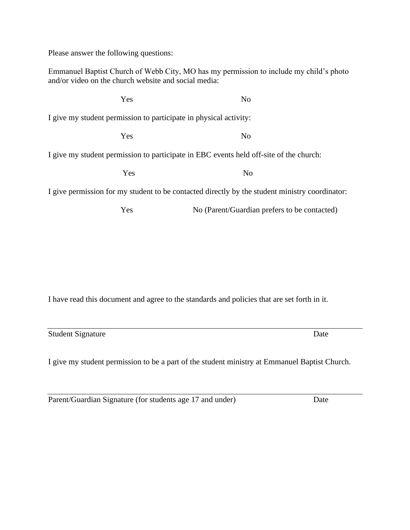Please answer the following questions:

Emmanuel Baptist Church of Webb City, MO has my permission to include my child's photo and/or video on the church website and social media:

Yes No I give my student permission to participate in physical activity: Yes No I give my student permission to participate in EBC events held off-site of the church: Yes No I give permission for my student to be contacted directly by the student ministry coordinator:

Yes No (Parent/Guardian prefers to be contacted)

I have read this document and agree to the standards and policies that are set forth in it.

Student Signature Date

I give my student permission to be a part of the student ministry at Emmanuel Baptist Church.

Parent/Guardian Signature (for students age 17 and under) Date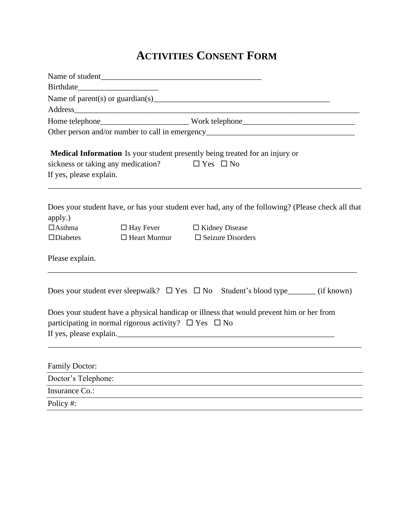## **ACTIVITIES CONSENT FORM**

|                         | Name of student.                                                      |                                                                                                    |  |  |
|-------------------------|-----------------------------------------------------------------------|----------------------------------------------------------------------------------------------------|--|--|
|                         |                                                                       |                                                                                                    |  |  |
|                         |                                                                       |                                                                                                    |  |  |
|                         | Address                                                               |                                                                                                    |  |  |
|                         |                                                                       |                                                                                                    |  |  |
|                         |                                                                       |                                                                                                    |  |  |
|                         |                                                                       | Medical Information Is your student presently being treated for an injury or                       |  |  |
|                         | sickness or taking any medication?                                    | $\Box$ Yes $\Box$ No                                                                               |  |  |
| If yes, please explain. |                                                                       |                                                                                                    |  |  |
| apply.)                 |                                                                       | Does your student have, or has your student ever had, any of the following? (Please check all that |  |  |
| $\Box$ Asthma           |                                                                       | $\Box$ Hay Fever $\Box$ Kidney Disease                                                             |  |  |
| $\Box$ Diabetes         |                                                                       | $\Box$ Heart Murmur $\Box$ Seizure Disorders                                                       |  |  |
| Please explain.         |                                                                       |                                                                                                    |  |  |
|                         |                                                                       | Does your student ever sleepwalk? $\Box$ Yes $\Box$ No Student's blood type_______ (if known)      |  |  |
|                         | participating in normal rigorous activity? $\square$ Yes $\square$ No | Does your student have a physical handicap or illness that would prevent him or her from           |  |  |
| <b>Family Doctor:</b>   |                                                                       |                                                                                                    |  |  |
| Doctor's Telephone:     |                                                                       |                                                                                                    |  |  |
| Insurance Co.:          |                                                                       |                                                                                                    |  |  |
|                         |                                                                       |                                                                                                    |  |  |

Policy #: